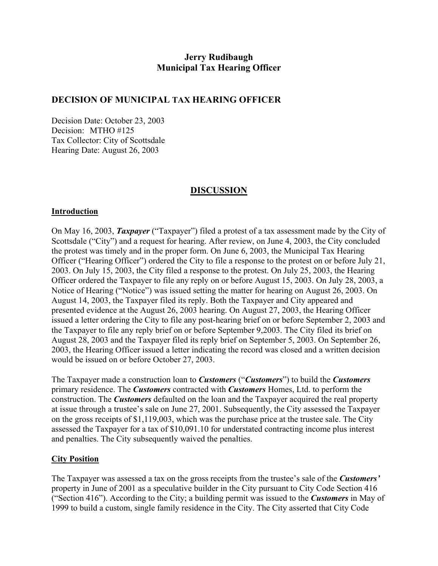# **Jerry Rudibaugh Municipal Tax Hearing Officer**

# **DECISION OF MUNICIPAL TAX HEARING OFFICER**

Decision Date: October 23, 2003 Decision: MTHO #125 Tax Collector: City of Scottsdale Hearing Date: August 26, 2003

## **DISCUSSION**

### **Introduction**

On May 16, 2003, *Taxpayer* ("Taxpayer") filed a protest of a tax assessment made by the City of Scottsdale ("City") and a request for hearing. After review, on June 4, 2003, the City concluded the protest was timely and in the proper form. On June 6, 2003, the Municipal Tax Hearing Officer ("Hearing Officer") ordered the City to file a response to the protest on or before July 21, 2003. On July 15, 2003, the City filed a response to the protest. On July 25, 2003, the Hearing Officer ordered the Taxpayer to file any reply on or before August 15, 2003. On July 28, 2003, a Notice of Hearing ("Notice") was issued setting the matter for hearing on August 26, 2003. On August 14, 2003, the Taxpayer filed its reply. Both the Taxpayer and City appeared and presented evidence at the August 26, 2003 hearing. On August 27, 2003, the Hearing Officer issued a letter ordering the City to file any post-hearing brief on or before September 2, 2003 and the Taxpayer to file any reply brief on or before September 9,2003. The City filed its brief on August 28, 2003 and the Taxpayer filed its reply brief on September 5, 2003. On September 26, 2003, the Hearing Officer issued a letter indicating the record was closed and a written decision would be issued on or before October 27, 2003.

The Taxpayer made a construction loan to *Customers* ("*Customers*") to build the *Customers*  primary residence. The *Customers* contracted with *Customers* Homes, Ltd. to perform the construction. The *Customers* defaulted on the loan and the Taxpayer acquired the real property at issue through a trustee's sale on June 27, 2001. Subsequently, the City assessed the Taxpayer on the gross receipts of \$1,119,003, which was the purchase price at the trustee sale. The City assessed the Taxpayer for a tax of \$10,091.10 for understated contracting income plus interest and penalties. The City subsequently waived the penalties.

#### **City Position**

The Taxpayer was assessed a tax on the gross receipts from the trustee's sale of the *Customers'*  property in June of 2001 as a speculative builder in the City pursuant to City Code Section 416 ("Section 416"). According to the City; a building permit was issued to the *Customers* in May of 1999 to build a custom, single family residence in the City. The City asserted that City Code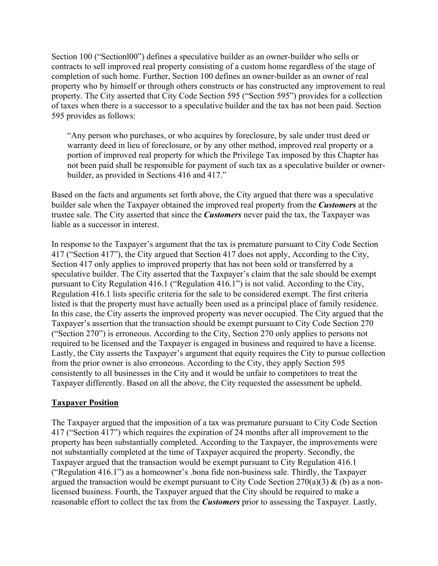Section 100 ("Sectionl00") defines a speculative builder as an owner-builder who sells or contracts to sell improved real property consisting of a custom home regardless of the stage of completion of such home. Further, Section 100 defines an owner-builder as an owner of real property who by himself or through others constructs or has constructed any improvement to real property. The City asserted that City Code Section 595 ("Section 595") provides for a collection of taxes when there is a successor to a speculative builder and the tax has not been paid. Section 595 provides as follows:

"Any person who purchases, or who acquires by foreclosure, by sale under trust deed or warranty deed in lieu of foreclosure, or by any other method, improved real property or a portion of improved real property for which the Privilege Tax imposed by this Chapter has not been paid shall be responsible for payment of such tax as a speculative builder or ownerbuilder, as provided in Sections 416 and 417."

Based on the facts and arguments set forth above, the City argued that there was a speculative builder sale when the Taxpayer obtained the improved real property from the *Customers* at the trustee sale. The City asserted that since the *Customers* never paid the tax, the Taxpayer was liable as a successor in interest.

In response to the Taxpayer's argument that the tax is premature pursuant to City Code Section 417 ("Section 417"), the City argued that Section 417 does not apply, According to the City, Section 417 only applies to improved property that has not been sold or transferred by a speculative builder. The City asserted that the Taxpayer's claim that the sale should be exempt pursuant to City Regulation 416.1 ("Regulation 416.1") is not valid. According to the City, Regulation 416.1 lists specific criteria for the sale to be considered exempt. The first criteria listed is that the property must have actually been used as a principal place of family residence. In this case, the City asserts the improved property was never occupied. The City argued that the Taxpayer's assertion that the transaction should be exempt pursuant to City Code Section 270 ("Section 270") is erroneous. According to the City, Section 270 only applies to persons not required to be licensed and the Taxpayer is engaged in business and required to have a license. Lastly, the City asserts the Taxpayer's argument that equity requires the City to pursue collection from the prior owner is also erroneous. According to the City, they apply Section 595 consistently to all businesses in the City and it would be unfair to competitors to treat the Taxpayer differently. Based on all the above, the City requested the assessment be upheld.

#### **Taxpayer Position**

The Taxpayer argued that the imposition of a tax was premature pursuant to City Code Section 417 ("Section 417") which requires the expiration of 24 months after all improvement to the property has been substantially completed. According to the Taxpayer, the improvements were not substantially completed at the time of Taxpayer acquired the property. Secondly, the Taxpayer argued that the transaction would be exempt pursuant to City Regulation 416.1 ("Regulation 416.1") as a homeowner's .bona fide non-business sale. Thirdly, the Taxpayer argued the transaction would be exempt pursuant to City Code Section 270(a)(3) & (b) as a nonlicensed business. Fourth, the Taxpayer argued that the City should be required to make a reasonable effort to collect the tax from the *Customers* prior to assessing the Taxpayer. Lastly,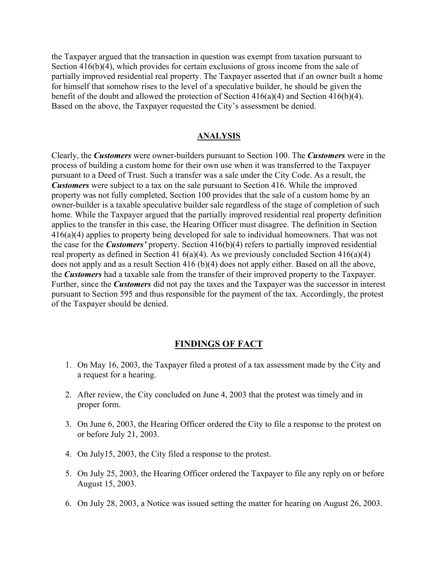the Taxpayer argued that the transaction in question was exempt from taxation pursuant to Section 416(b)(4), which provides for certain exclusions of gross income from the sale of partially improved residential real property. The Taxpayer asserted that if an owner built a home for himself that somehow rises to the level of a speculative builder, he should be given the benefit of the doubt and allowed the protection of Section 416(a)(4) and Section 416(b)(4). Based on the above, the Taxpayer requested the City's assessment be denied.

#### **ANALYSIS**

Clearly, the *Customers* were owner-builders pursuant to Section 100. The *Customers* were in the process of building a custom home for their own use when it was transferred to the Taxpayer pursuant to a Deed of Trust. Such a transfer was a sale under the City Code. As a result, the *Customers* were subject to a tax on the sale pursuant to Section 416. While the improved property was not fully completed, Section 100 provides that the sale of a custom home by an owner-builder is a taxable speculative builder sale regardless of the stage of completion of such home. While the Taxpayer argued that the partially improved residential real property definition applies to the transfer in this case, the Hearing Officer must disagree. The definition in Section 416(a)(4) applies to property being developed for sale to individual homeowners. That was not the case for the *Customers'* property. Section 416(b)(4) refers to partially improved residential real property as defined in Section 41  $6(a)(4)$ . As we previously concluded Section 41 $6(a)(4)$ does not apply and as a result Section 416 (b)(4) does not apply either. Based on all the above, the *Customers* had a taxable sale from the transfer of their improved property to the Taxpayer. Further, since the *Customers* did not pay the taxes and the Taxpayer was the successor in interest pursuant to Section 595 and thus responsible for the payment of the tax. Accordingly, the protest of the Taxpayer should be denied.

#### **FINDINGS OF FACT**

- 1. On May 16, 2003, the Taxpayer filed a protest of a tax assessment made by the City and a request for a hearing.
- 2. After review, the City concluded on June 4, 2003 that the protest was timely and in proper form.
- 3. On June 6, 2003, the Hearing Officer ordered the City to file a response to the protest on or before July 21, 2003.
- 4. On July15, 2003, the City filed a response to the protest.
- 5. On July 25, 2003, the Hearing Officer ordered the Taxpayer to file any reply on or before August 15, 2003.
- 6. On July 28, 2003, a Notice was issued setting the matter for hearing on August 26, 2003.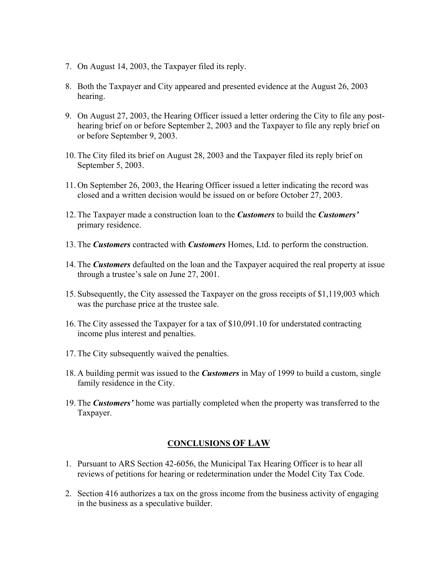- 7. On August 14, 2003, the Taxpayer filed its reply.
- 8. Both the Taxpayer and City appeared and presented evidence at the August 26, 2003 hearing.
- 9. On August 27, 2003, the Hearing Officer issued a letter ordering the City to file any posthearing brief on or before September 2, 2003 and the Taxpayer to file any reply brief on or before September 9, 2003.
- 10. The City filed its brief on August 28, 2003 and the Taxpayer filed its reply brief on September 5, 2003.
- 11. On September 26, 2003, the Hearing Officer issued a letter indicating the record was closed and a written decision would be issued on or before October 27, 2003.
- 12. The Taxpayer made a construction loan to the *Customers* to build the *Customers'*  primary residence.
- 13. The *Customers* contracted with *Customers* Homes, Ltd. to perform the construction.
- 14. The *Customers* defaulted on the loan and the Taxpayer acquired the real property at issue through a trustee's sale on June 27, 2001.
- 15. Subsequently, the City assessed the Taxpayer on the gross receipts of \$1,119,003 which was the purchase price at the trustee sale.
- 16. The City assessed the Taxpayer for a tax of \$10,091.10 for understated contracting income plus interest and penalties.
- 17. The City subsequently waived the penalties.
- 18. A building permit was issued to the *Customers* in May of 1999 to build a custom, single family residence in the City.
- 19. The *Customers'* home was partially completed when the property was transferred to the Taxpayer.

#### **CONCLUSIONS OF LAW**

- 1. Pursuant to ARS Section 42-6056, the Municipal Tax Hearing Officer is to hear all reviews of petitions for hearing or redetermination under the Model City Tax Code.
- 2. Section 416 authorizes a tax on the gross income from the business activity of engaging in the business as a speculative builder.